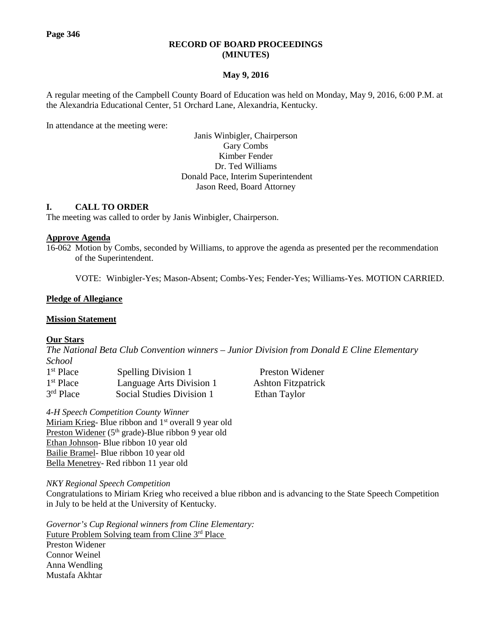## **RECORD OF BOARD PROCEEDINGS (MINUTES)**

## **May 9, 2016**

A regular meeting of the Campbell County Board of Education was held on Monday, May 9, 2016, 6:00 P.M. at the Alexandria Educational Center, 51 Orchard Lane, Alexandria, Kentucky.

In attendance at the meeting were:

Janis Winbigler, Chairperson Gary Combs Kimber Fender Dr. Ted Williams Donald Pace, Interim Superintendent Jason Reed, Board Attorney

## **I. CALL TO ORDER**

The meeting was called to order by Janis Winbigler, Chairperson.

## **Approve Agenda**

16-062 Motion by Combs, seconded by Williams, to approve the agenda as presented per the recommendation of the Superintendent.

VOTE: Winbigler-Yes; Mason-Absent; Combs-Yes; Fender-Yes; Williams-Yes. MOTION CARRIED.

Preston Widener **Ashton Fitzpatrick** Ethan Taylor

## **Pledge of Allegiance**

## **Mission Statement**

## **Our Stars**

*The National Beta Club Convention winners – [Junior Division from Donald E Cline Elementary](http://www.campbellcountyschools.org/News/53026)  [School](http://www.campbellcountyschools.org/News/53026)* 

| $1st$ Place | <b>Spelling Division 1</b> |
|-------------|----------------------------|
| $1st$ Place | Language Arts Division 1   |
| $3rd$ Place | Social Studies Division 1  |

*[4-H Speech Competition County Winner](http://www.campbellcountyschools.org/News/53026)*  Miriam Krieg- Blue ribbon and  $1<sup>st</sup>$  overall 9 year old Preston Widener (5<sup>th</sup> grade)-Blue ribbon 9 year old Ethan Johnson- Blue ribbon 10 year old Bailie Bramel- Blue ribbon 10 year old Bella Menetrey- Red ribbon 11 year old

#### *NKY Regional Speech Competition*

Congratulations to Miriam Krieg who received a blue ribbon and is advancing to the State Speech Competition in July to be held at the University of Kentucky.

*Governor's Cup Regional winners from Cline Elementary:* Future Problem Solving team from Cline 3rd Place Preston Widener Connor Weinel Anna Wendling Mustafa Akhtar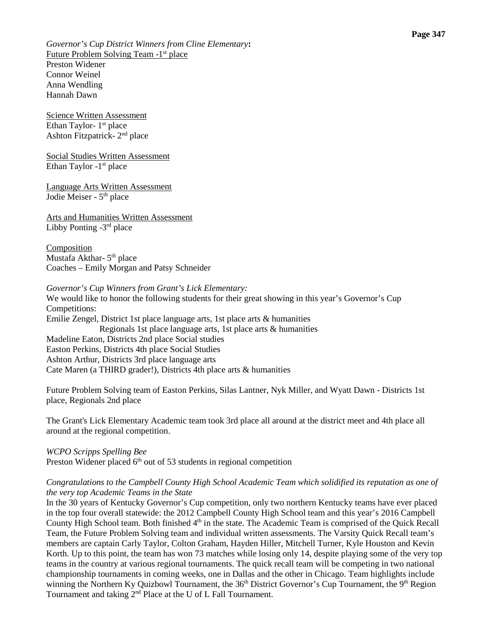*Governor's Cup District Winners from Cline Elementary***:** Future Problem Solving Team -1<sup>st</sup> place Preston Widener Connor Weinel Anna Wendling Hannah Dawn

Science Written Assessment Ethan Taylor- 1<sup>st</sup> place Ashton Fitzpatrick- 2nd place

Social Studies Written Assessment Ethan Taylor  $-1<sup>st</sup>$  place

Language Arts Written Assessment Jodie Meiser - 5<sup>th</sup> place

Arts and Humanities Written Assessment Libby Ponting  $-3<sup>rd</sup>$  place

**Composition** Mustafa Akthar- 5<sup>th</sup> place Coaches – Emily Morgan and Patsy Schneider

#### *Governor's Cup Winners from Grant's Lick Elementary:*

We would like to honor the following students for their great showing in this year's Governor's Cup Competitions: Emilie Zengel, District 1st place language arts, 1st place arts & humanities Regionals 1st place language arts, 1st place arts & humanities Madeline Eaton, Districts 2nd place Social studies Easton Perkins, Districts 4th place Social Studies Ashton Arthur, Districts 3rd place language arts Cate Maren (a THIRD grader!), Districts 4th place arts & humanities

Future Problem Solving team of Easton Perkins, Silas Lantner, Nyk Miller, and Wyatt Dawn - Districts 1st place, Regionals 2nd place

The Grant's Lick Elementary Academic team took 3rd place all around at the district meet and 4th place all around at the regional competition.

#### *WCPO Scripps Spelling Bee*

Preston Widener placed  $6<sup>th</sup>$  out of 53 students in regional competition

## *Congratulations to the Campbell County High School Academic Team which solidified its reputation as one of the very top Academic Teams in the State*

In the 30 years of Kentucky Governor's Cup competition, only two northern Kentucky teams have ever placed in the top four overall statewide: the 2012 Campbell County High School team and this year's 2016 Campbell County High School team. Both finished 4<sup>th</sup> in the state. The Academic Team is comprised of the Quick Recall Team, the Future Problem Solving team and individual written assessments. The Varsity Quick Recall team's members are captain Carly Taylor, Colton Graham, Hayden Hiller, Mitchell Turner, Kyle Houston and Kevin Korth. Up to this point, the team has won 73 matches while losing only 14, despite playing some of the very top teams in the country at various regional tournaments. The quick recall team will be competing in two national championship tournaments in coming weeks, one in Dallas and the other in Chicago. Team highlights include winning the Northern Ky Quizbowl Tournament, the 36<sup>th</sup> District Governor's Cup Tournament, the 9<sup>th</sup> Region Tournament and taking  $2<sup>nd</sup>$  Place at the U of L Fall Tournament.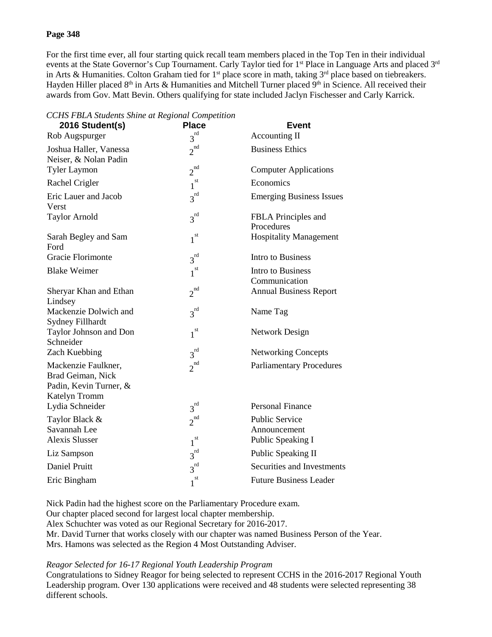## **Page 348**

For the first time ever, all four starting quick recall team members placed in the Top Ten in their individual events at the State Governor's Cup Tournament. Carly Taylor tied for 1<sup>st</sup> Place in Language Arts and placed 3<sup>rd</sup> in Arts & Humanities. Colton Graham tied for  $1<sup>st</sup>$  place score in math, taking  $3<sup>rd</sup>$  place based on tiebreakers. Hayden Hiller placed 8<sup>th</sup> in Arts & Humanities and Mitchell Turner placed 9<sup>th</sup> in Science. All received their awards from Gov. Matt Bevin. Others qualifying for state included Jaclyn Fischesser and Carly Karrick.

| CCH5 PDLA Suddents Shine at Regional Competition                   |                 |                                   |
|--------------------------------------------------------------------|-----------------|-----------------------------------|
| 2016 Student(s)                                                    | <b>Place</b>    | <b>Event</b>                      |
| Rob Augspurger                                                     | $3^{rd}$        | Accounting II                     |
| Joshua Haller, Vanessa                                             | $2^{nd}$        | <b>Business Ethics</b>            |
| Neiser, & Nolan Padin                                              |                 |                                   |
| <b>Tyler Laymon</b>                                                | $2^{nd}$        | <b>Computer Applications</b>      |
| Rachel Crigler                                                     | st<br>1         | Economics                         |
| Eric Lauer and Jacob<br>Verst                                      | $3^{rd}$        | <b>Emerging Business Issues</b>   |
| <b>Taylor Arnold</b>                                               | $3^{rd}$        | FBLA Principles and<br>Procedures |
| Sarah Begley and Sam<br>Ford                                       | $1^{st}$        | <b>Hospitality Management</b>     |
| Gracie Florimonte                                                  | $3^{rd}$        | <b>Intro to Business</b>          |
| <b>Blake Weimer</b>                                                | $1^{st}$        | <b>Intro to Business</b>          |
|                                                                    |                 | Communication                     |
| Sheryar Khan and Ethan<br>Lindsey                                  | $2^{nd}$        | <b>Annual Business Report</b>     |
| Mackenzie Dolwich and                                              | $3^{rd}$        | Name Tag                          |
| Sydney Fillhardt                                                   |                 |                                   |
| Taylor Johnson and Don                                             | $1^{\text{st}}$ | <b>Network Design</b>             |
| Schneider                                                          |                 |                                   |
| Zach Kuebbing                                                      | $3^{rd}$        | <b>Networking Concepts</b>        |
| Mackenzie Faulkner,<br>Brad Geiman, Nick<br>Padin, Kevin Turner, & | $2^{nd}$        | <b>Parliamentary Procedures</b>   |
| <b>Katelyn Tromm</b>                                               |                 |                                   |
| Lydia Schneider                                                    | $3^{rd}$        | <b>Personal Finance</b>           |
| Taylor Black &                                                     | $2^{nd}$        | <b>Public Service</b>             |
| Savannah Lee                                                       |                 | Announcement                      |
| <b>Alexis Slusser</b>                                              | $1^{st}$        | Public Speaking I                 |
| Liz Sampson                                                        | $3^{rd}$        | Public Speaking II                |
| Daniel Pruitt                                                      | $3^{rd}$        | Securities and Investments        |
| Eric Bingham                                                       | $1^{st}$        | <b>Future Business Leader</b>     |

Nick Padin had the highest score on the Parliamentary Procedure exam. Our chapter placed second for largest local chapter membership. Alex Schuchter was voted as our Regional Secretary for 2016-2017. Mr. David Turner that works closely with our chapter was named Business Person of the Year.

Mrs. Hamons was selected as the Region 4 Most Outstanding Adviser.

## *[Reagor Selected for 16-17 Regional Youth Leadership Program](http://www.campbellcountyschools.org/News/53232)*

Congratulations to Sidney Reagor for being selected to represent CCHS in the 2016-2017 Regional Youth Leadership program. Over 130 applications were received and 48 students were selected representing 38 different schools.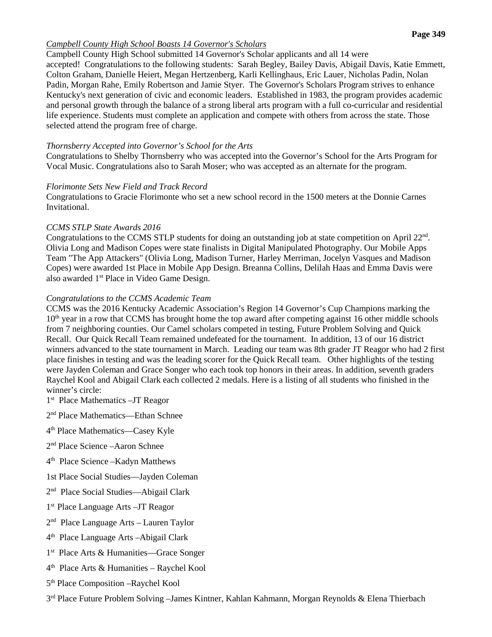# *[Campbell County High School Boasts 14 Governor's Scholars](http://www.campbellcountyschools.org/News/53214)*

Campbell County High School submitted 14 Governor's Scholar applicants and all 14 were accepted! Congratulations to the following students: Sarah Begley, Bailey Davis, Abigail Davis, Katie Emmett, Colton Graham, Danielle Heiert, Megan Hertzenberg, Karli Kellinghaus, Eric Lauer, Nicholas Padin, Nolan Padin, Morgan Rahe, Emily Robertson and Jamie Styer. The Governor's Scholars Program strives to enhance Kentucky's next generation of civic and economic leaders. Established in 1983, the program provides academic and personal growth through the balance of a strong liberal arts program with a full co-curricular and residential life experience. Students must complete an application and compete with others from across the state. Those selected attend the program free of charge.

# *[Thornsberry Accepted into Governor's School for the Arts](http://www.campbellcountyschools.org/News/53215)*

Congratulations to Shelby Thornsberry who was accepted into the Governor's School for the Arts Program for Vocal Music. Congratulations also to Sarah Moser; who was accepted as an alternate for the program.

## *[Florimonte Sets New Field and Track Record](http://www.campbellcountyschools.org/News/53206)*

Congratulations to Gracie Florimonte who set a new school record in the 1500 meters at the Donnie Carnes Invitational.

# *[CCMS STLP State Awards 2016](http://www.campbellcountyschools.org/News/53230)*

Congratulations to the CCMS STLP students for doing an outstanding job at state competition on April 22nd. Olivia Long and Madison Copes were state finalists in Digital Manipulated Photography. Our Mobile Apps Team "The App Attackers" (Olivia Long, Madison Turner, Harley Merriman, Jocelyn Vasques and Madison Copes) were awarded 1st Place in Mobile App Design. Breanna Collins, Delilah Haas and Emma Davis were also awarded 1st Place in Video Game Design.

# *[Congratulations to the CCMS Academic Team](http://www.campbellcountyschools.org/News/53230)*

CCMS was the 2016 Kentucky Academic Association's Region 14 Governor's Cup Champions marking the 10<sup>th</sup> year in a row that CCMS has brought home the top award after competing against 16 other middle schools from 7 neighboring counties. Our Camel scholars competed in testing, Future Problem Solving and Quick Recall. Our Quick Recall Team remained undefeated for the tournament. In addition, 13 of our 16 district winners advanced to the state tournament in March. Leading our team was 8th grader JT Reagor who had 2 first place finishes in testing and was the leading scorer for the Quick Recall team. Other highlights of the testing were Jayden Coleman and Grace Songer who each took top honors in their areas. In addition, seventh graders Raychel Kool and Abigail Clark each collected 2 medals. Here is a listing of all students who finished in the winner's circle:

1st Place Mathematics –JT Reagor

- 2nd Place Mathematics—Ethan Schnee
- 4th Place Mathematics—Casey Kyle
- 2nd Place Science –Aaron Schnee
- 4th Place Science –Kadyn Matthews
- 1st Place Social Studies—Jayden Coleman
- 2nd Place Social Studies—Abigail Clark
- 1st Place Language Arts –JT Reagor
- 2nd Place Language Arts Lauren Taylor
- 4th Place Language Arts –Abigail Clark
- 1<sup>st</sup> Place Arts & Humanities—Grace Songer
- 4th Place Arts & Humanities Raychel Kool
- 5th Place Composition –Raychel Kool
- 3rd Place Future Problem Solving –James Kintner, Kahlan Kahmann, Morgan Reynolds & Elena Thierbach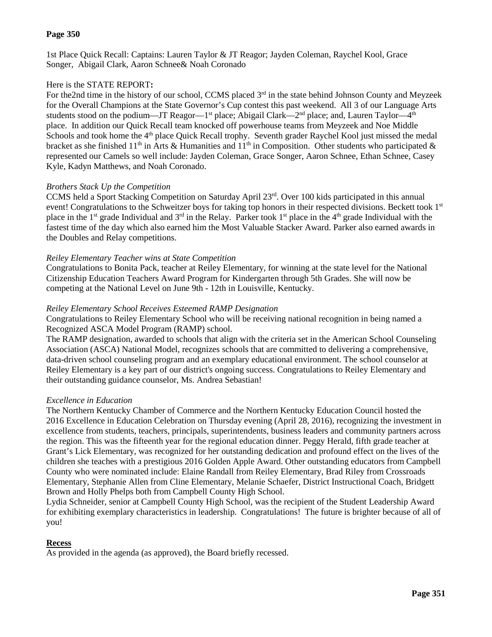# **Page 350**

1st Place Quick Recall: Captains: Lauren Taylor & JT Reagor; Jayden Coleman, Raychel Kool, Grace Songer, Abigail Clark, Aaron Schnee& Noah Coronado

## Here is the STATE REPORT**:**

For the2nd time in the history of our school, CCMS placed 3<sup>rd</sup> in the state behind Johnson County and Meyzeek for the Overall Champions at the State Governor's Cup contest this past weekend. All 3 of our Language Arts students stood on the podium—JT Reagor—1<sup>st</sup> place; Abigail Clark—2<sup>nd</sup> place; and, Lauren Taylor—4<sup>th</sup> place. In addition our Quick Recall team knocked off powerhouse teams from Meyzeek and Noe Middle Schools and took home the 4<sup>th</sup> place Quick Recall trophy. Seventh grader Raychel Kool just missed the medal bracket as she finished 11<sup>th</sup> in Arts & Humanities and 11<sup>th</sup> in Composition. Other students who participated & represented our Camels so well include: Jayden Coleman, Grace Songer, Aaron Schnee, Ethan Schnee, Casey Kyle, Kadyn Matthews, and Noah Coronado.

## *[Brothers Stack Up the Competition](http://www.campbellcountyschools.org/News/53231)*

CCMS held a Sport Stacking Competition on Saturday April 23rd. Over 100 kids participated in this annual event! Congratulations to the Schweitzer boys for taking top honors in their respected divisions. Beckett took 1<sup>st</sup> place in the 1<sup>st</sup> grade Individual and  $3<sup>rd</sup>$  in the Relay. Parker took 1<sup>st</sup> place in the 4<sup>th</sup> grade Individual with the fastest time of the day which also earned him the Most Valuable Stacker Award. Parker also earned awards in the Doubles and Relay competitions.

## *[Reiley Elementary Teacher wins at State Competition](http://www.campbellcountyschools.org/News/53226)*

Congratulations to Bonita Pack, teacher at Reiley Elementary, for winning at the state level for the National Citizenship Education Teachers Award Program for Kindergarten through 5th Grades. She will now be competing at the National Level on June 9th - 12th in Louisville, Kentucky.

## *[Reiley Elementary School Receives Esteemed RAMP Designation](http://www.campbellcountyschools.org/News/53223)*

Congratulations to Reiley Elementary School who will be receiving national recognition in being named a Recognized ASCA Model Program (RAMP) school.

The RAMP designation, awarded to schools that align with the criteria set in the American School Counseling Association (ASCA) National Model, recognizes schools that are committed to delivering a comprehensive, data-driven school counseling program and an exemplary educational environment. The school counselor at Reiley Elementary is a key part of our district's ongoing success. Congratulations to Reiley Elementary and their outstanding guidance counselor, Ms. Andrea Sebastian!

#### *[Excellence in Education](http://www.campbellcountyschools.org/News/53233)*

The Northern Kentucky Chamber of Commerce and the Northern Kentucky Education Council hosted the 2016 Excellence in Education Celebration on Thursday evening (April 28, 2016), recognizing the investment in excellence from students, teachers, principals, superintendents, business leaders and community partners across the region. This was the fifteenth year for the regional education dinner. Peggy Herald, fifth grade teacher at Grant's Lick Elementary, was recognized for her outstanding dedication and profound effect on the lives of the children she teaches with a prestigious 2016 Golden Apple Award. Other outstanding educators from Campbell County who were nominated include: Elaine Randall from Reiley Elementary, Brad Riley from Crossroads Elementary, Stephanie Allen from Cline Elementary, Melanie Schaefer, District Instructional Coach, Bridgett Brown and Holly Phelps both from Campbell County High School.

Lydia Schneider, senior at Campbell County High School, was the recipient of the Student Leadership Award for exhibiting exemplary characteristics in leadership. Congratulations! The future is brighter because of all of you!

#### **Recess**

As provided in the agenda (as approved), the Board briefly recessed.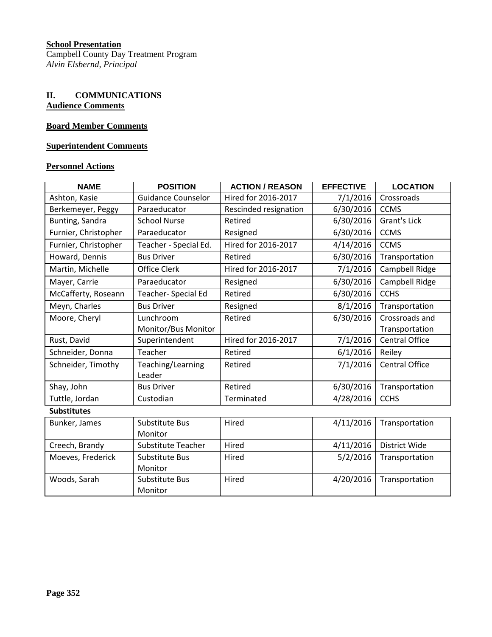# **School Presentation**

Campbell County Day Treatment Program *Alvin Elsbernd, Principal*

# **II. COMMUNICATIONS Audience Comments**

# **Board Member Comments**

# **Superintendent Comments**

## **Personnel Actions**

| <b>NAME</b>          | <b>POSITION</b>             | <b>ACTION / REASON</b> | <b>EFFECTIVE</b> | <b>LOCATION</b>       |  |  |  |  |
|----------------------|-----------------------------|------------------------|------------------|-----------------------|--|--|--|--|
| Ashton, Kasie        | <b>Guidance Counselor</b>   | Hired for 2016-2017    | 7/1/2016         | Crossroads            |  |  |  |  |
| Berkemeyer, Peggy    | Paraeducator                | Rescinded resignation  | 6/30/2016        | <b>CCMS</b>           |  |  |  |  |
| Bunting, Sandra      | <b>School Nurse</b>         | Retired                | 6/30/2016        | <b>Grant's Lick</b>   |  |  |  |  |
| Furnier, Christopher | Paraeducator                | Resigned               | 6/30/2016        | <b>CCMS</b>           |  |  |  |  |
| Furnier, Christopher | Teacher - Special Ed.       | Hired for 2016-2017    | 4/14/2016        | <b>CCMS</b>           |  |  |  |  |
| Howard, Dennis       | <b>Bus Driver</b>           | Retired                | 6/30/2016        | Transportation        |  |  |  |  |
| Martin, Michelle     | <b>Office Clerk</b>         | Hired for 2016-2017    | 7/1/2016         | Campbell Ridge        |  |  |  |  |
| Mayer, Carrie        | Paraeducator                | Resigned               | 6/30/2016        | Campbell Ridge        |  |  |  |  |
| McCafferty, Roseann  | Teacher- Special Ed         | Retired                | 6/30/2016        | <b>CCHS</b>           |  |  |  |  |
| Meyn, Charles        | <b>Bus Driver</b>           | Resigned               | 8/1/2016         | Transportation        |  |  |  |  |
| Moore, Cheryl        | Lunchroom                   | Retired                | 6/30/2016        | Crossroads and        |  |  |  |  |
|                      | Monitor/Bus Monitor         |                        |                  | Transportation        |  |  |  |  |
| Rust, David          | Superintendent              | Hired for 2016-2017    | 7/1/2016         | <b>Central Office</b> |  |  |  |  |
| Schneider, Donna     | Teacher                     | Retired                | 6/1/2016         | Reiley                |  |  |  |  |
| Schneider, Timothy   | Teaching/Learning<br>Leader | Retired                | 7/1/2016         | <b>Central Office</b> |  |  |  |  |
| Shay, John           | <b>Bus Driver</b>           | Retired                | 6/30/2016        | Transportation        |  |  |  |  |
| Tuttle, Jordan       | Custodian                   | Terminated             | 4/28/2016        | <b>CCHS</b>           |  |  |  |  |
| <b>Substitutes</b>   |                             |                        |                  |                       |  |  |  |  |
| Bunker, James        | Substitute Bus              | Hired                  | 4/11/2016        | Transportation        |  |  |  |  |
|                      | Monitor                     |                        |                  |                       |  |  |  |  |
| Creech, Brandy       | Substitute Teacher          | Hired                  | 4/11/2016        | District Wide         |  |  |  |  |
| Moeves, Frederick    | Substitute Bus              | Hired                  | 5/2/2016         | Transportation        |  |  |  |  |
|                      | Monitor                     |                        |                  |                       |  |  |  |  |
| Woods, Sarah         | Substitute Bus              | Hired                  | 4/20/2016        | Transportation        |  |  |  |  |
|                      | Monitor                     |                        |                  |                       |  |  |  |  |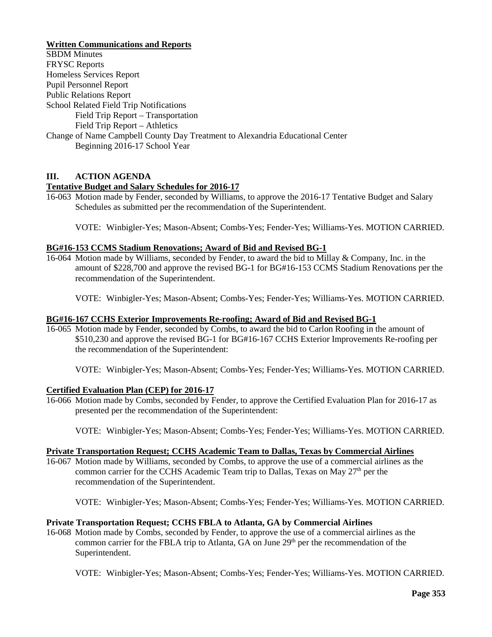# **Written Communications and Reports**

SBDM Minutes FRYSC Reports Homeless Services Report Pupil Personnel Report Public Relations Report School Related Field Trip Notifications Field Trip Report – Transportation Field Trip Report – Athletics Change of Name Campbell County Day Treatment to Alexandria Educational Center Beginning 2016-17 School Year

## **III. ACTION AGENDA**

## **Tentative Budget and Salary Schedules for 2016-17**

16-063 Motion made by Fender, seconded by Williams, to approve the 2016-17 Tentative Budget and Salary Schedules as submitted per the recommendation of the Superintendent.

VOTE: Winbigler-Yes; Mason-Absent; Combs-Yes; Fender-Yes; Williams-Yes. MOTION CARRIED.

## **BG#16-153 CCMS Stadium Renovations; Award of Bid and Revised BG-1**

16-064 Motion made by Williams, seconded by Fender, to award the bid to Millay & Company, Inc. in the amount of \$228,700 and approve the revised BG-1 for BG#16-153 CCMS Stadium Renovations per the recommendation of the Superintendent.

VOTE: Winbigler-Yes; Mason-Absent; Combs-Yes; Fender-Yes; Williams-Yes. MOTION CARRIED.

## **BG#16-167 CCHS Exterior Improvements Re-roofing; Award of Bid and Revised BG-1**

16-065 Motion made by Fender, seconded by Combs, to award the bid to Carlon Roofing in the amount of \$510,230 and approve the revised BG-1 for BG#16-167 CCHS Exterior Improvements Re-roofing per the recommendation of the Superintendent:

VOTE: Winbigler-Yes; Mason-Absent; Combs-Yes; Fender-Yes; Williams-Yes. MOTION CARRIED.

### **Certified Evaluation Plan (CEP) for 2016-17**

16-066 Motion made by Combs, seconded by Fender, to approve the Certified Evaluation Plan for 2016-17 as presented per the recommendation of the Superintendent:

VOTE: Winbigler-Yes; Mason-Absent; Combs-Yes; Fender-Yes; Williams-Yes. MOTION CARRIED.

#### **Private Transportation Request; CCHS Academic Team to Dallas, Texas by Commercial Airlines**

16-067 Motion made by Williams, seconded by Combs, to approve the use of a commercial airlines as the common carrier for the CCHS Academic Team trip to Dallas, Texas on May 27th per the recommendation of the Superintendent.

VOTE: Winbigler-Yes; Mason-Absent; Combs-Yes; Fender-Yes; Williams-Yes. MOTION CARRIED.

#### **Private Transportation Request; CCHS FBLA to Atlanta, GA by Commercial Airlines**

16-068 Motion made by Combs, seconded by Fender, to approve the use of a commercial airlines as the common carrier for the FBLA trip to Atlanta, GA on June 29<sup>th</sup> per the recommendation of the Superintendent.

VOTE: Winbigler-Yes; Mason-Absent; Combs-Yes; Fender-Yes; Williams-Yes. MOTION CARRIED.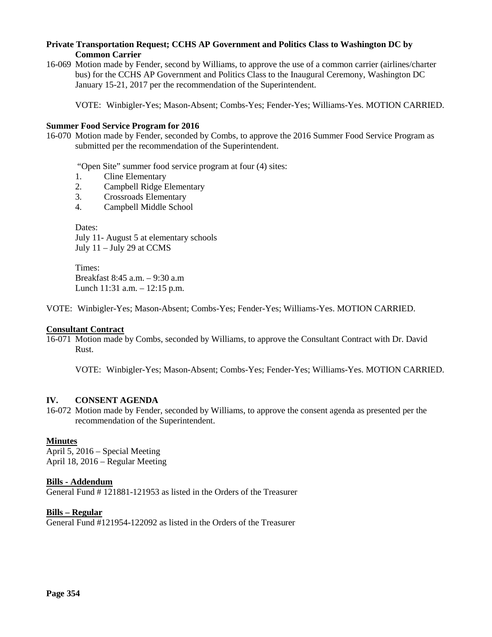## **Private Transportation Request; CCHS AP Government and Politics Class to Washington DC by Common Carrier**

16-069 Motion made by Fender, second by Williams, to approve the use of a common carrier (airlines/charter bus) for the CCHS AP Government and Politics Class to the Inaugural Ceremony, Washington DC January 15-21, 2017 per the recommendation of the Superintendent.

VOTE: Winbigler-Yes; Mason-Absent; Combs-Yes; Fender-Yes; Williams-Yes. MOTION CARRIED.

## **Summer Food Service Program for 2016**

16-070 Motion made by Fender, seconded by Combs, to approve the 2016 Summer Food Service Program as submitted per the recommendation of the Superintendent.

"Open Site" summer food service program at four (4) sites:

- 1. Cline Elementary
- 2. Campbell Ridge Elementary
- 3. Crossroads Elementary
- 4. Campbell Middle School

Dates: July 11- August 5 at elementary schools July 11 – July 29 at CCMS

Times: Breakfast 8:45 a.m. – 9:30 a.m Lunch 11:31 a.m. – 12:15 p.m.

VOTE: Winbigler-Yes; Mason-Absent; Combs-Yes; Fender-Yes; Williams-Yes. MOTION CARRIED.

# **Consultant Contract**

16-071 Motion made by Combs, seconded by Williams, to approve the Consultant Contract with Dr. David Rust.

VOTE: Winbigler-Yes; Mason-Absent; Combs-Yes; Fender-Yes; Williams-Yes. MOTION CARRIED.

#### **IV. CONSENT AGENDA**

16-072 Motion made by Fender, seconded by Williams, to approve the consent agenda as presented per the recommendation of the Superintendent.

## **Minutes**

April 5, 2016 – Special Meeting April 18, 2016 – Regular Meeting

## **Bills - Addendum**

General Fund # 121881-121953 as listed in the Orders of the Treasurer

#### **Bills – Regular**

General Fund #121954-122092 as listed in the Orders of the Treasurer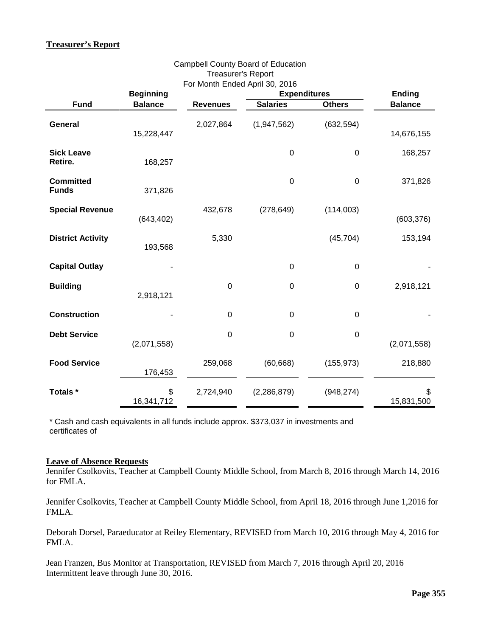# **Treasurer's Report**

| <b>Treasurer's Report</b>        |                  |                                                       |                  |               |                |  |  |  |
|----------------------------------|------------------|-------------------------------------------------------|------------------|---------------|----------------|--|--|--|
|                                  | <b>Beginning</b> | For Month Ended April 30, 2016<br><b>Expenditures</b> |                  |               | <b>Ending</b>  |  |  |  |
| <b>Fund</b>                      | <b>Balance</b>   | <b>Revenues</b>                                       | <b>Salaries</b>  | <b>Others</b> | <b>Balance</b> |  |  |  |
| General                          | 15,228,447       | 2,027,864                                             | (1,947,562)      | (632, 594)    | 14,676,155     |  |  |  |
| <b>Sick Leave</b><br>Retire.     | 168,257          |                                                       | $\boldsymbol{0}$ | $\pmb{0}$     | 168,257        |  |  |  |
| <b>Committed</b><br><b>Funds</b> | 371,826          |                                                       | $\boldsymbol{0}$ | $\mathbf 0$   | 371,826        |  |  |  |
| <b>Special Revenue</b>           | (643, 402)       | 432,678                                               | (278, 649)       | (114,003)     | (603, 376)     |  |  |  |
| <b>District Activity</b>         | 193,568          | 5,330                                                 |                  | (45, 704)     | 153,194        |  |  |  |
| <b>Capital Outlay</b>            |                  |                                                       | $\boldsymbol{0}$ | 0             |                |  |  |  |
| <b>Building</b>                  | 2,918,121        | 0                                                     | 0                | $\mathbf 0$   | 2,918,121      |  |  |  |
| <b>Construction</b>              |                  | $\mathbf 0$                                           | $\mathbf 0$      | $\mathbf 0$   |                |  |  |  |
| <b>Debt Service</b>              | (2,071,558)      | $\mathbf 0$                                           | $\mathbf 0$      | $\pmb{0}$     | (2,071,558)    |  |  |  |
| <b>Food Service</b>              | 176,453          | 259,068                                               | (60, 668)        | (155, 973)    | 218,880        |  |  |  |
| Totals *                         | S.<br>16,341,712 | 2,724,940                                             | (2, 286, 879)    | (948, 274)    | 15,831,500     |  |  |  |

Campbell County Board of Education

\* Cash and cash equivalents in all funds include approx. \$373,037 in investments and certificates of

#### **Leave of Absence Requests**

Jennifer Csolkovits, Teacher at Campbell County Middle School, from March 8, 2016 through March 14, 2016 for FMLA.

Jennifer Csolkovits, Teacher at Campbell County Middle School, from April 18, 2016 through June 1,2016 for FMLA.

Deborah Dorsel, Paraeducator at Reiley Elementary, REVISED from March 10, 2016 through May 4, 2016 for FMLA.

Jean Franzen, Bus Monitor at Transportation, REVISED from March 7, 2016 through April 20, 2016 Intermittent leave through June 30, 2016.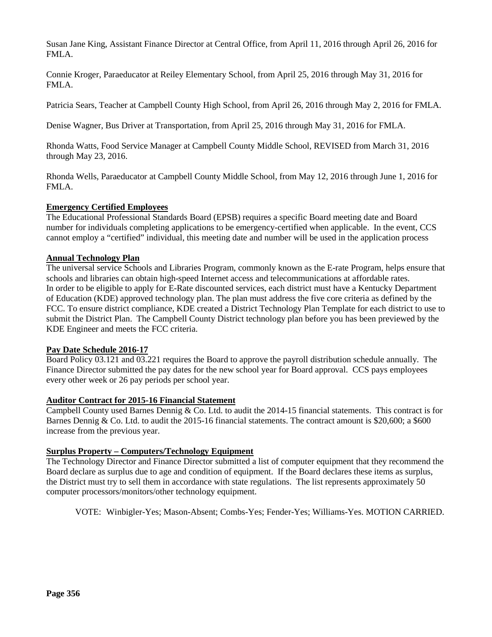Susan Jane King, Assistant Finance Director at Central Office, from April 11, 2016 through April 26, 2016 for FMLA.

Connie Kroger, Paraeducator at Reiley Elementary School, from April 25, 2016 through May 31, 2016 for FMLA.

Patricia Sears, Teacher at Campbell County High School, from April 26, 2016 through May 2, 2016 for FMLA.

Denise Wagner, Bus Driver at Transportation, from April 25, 2016 through May 31, 2016 for FMLA.

Rhonda Watts, Food Service Manager at Campbell County Middle School, REVISED from March 31, 2016 through May 23, 2016.

Rhonda Wells, Paraeducator at Campbell County Middle School, from May 12, 2016 through June 1, 2016 for FMLA.

## **Emergency Certified Employees**

The Educational Professional Standards Board (EPSB) requires a specific Board meeting date and Board number for individuals completing applications to be emergency-certified when applicable. In the event, CCS cannot employ a "certified" individual, this meeting date and number will be used in the application process

## **Annual Technology Plan**

The universal service Schools and Libraries Program, commonly known as the E-rate Program, helps ensure that schools and libraries can obtain high-speed Internet access and telecommunications at affordable rates. In order to be eligible to apply for E-Rate discounted services, each district must have a Kentucky Department of Education (KDE) approved technology plan. The plan must address the five core criteria as defined by the FCC. To ensure district compliance, KDE created a District Technology Plan Template for each district to use to submit the District Plan. The Campbell County District technology plan before you has been previewed by the KDE Engineer and meets the FCC criteria.

## **Pay Date Schedule 2016-17**

Board Policy 03.121 and 03.221 requires the Board to approve the payroll distribution schedule annually. The Finance Director submitted the pay dates for the new school year for Board approval. CCS pays employees every other week or 26 pay periods per school year.

# **Auditor Contract for 2015-16 Financial Statement**

Campbell County used Barnes Dennig & Co. Ltd. to audit the 2014-15 financial statements. This contract is for Barnes Dennig & Co. Ltd. to audit the 2015-16 financial statements. The contract amount is \$20,600; a \$600 increase from the previous year.

## **Surplus Property – Computers/Technology Equipment**

The Technology Director and Finance Director submitted a list of computer equipment that they recommend the Board declare as surplus due to age and condition of equipment. If the Board declares these items as surplus, the District must try to sell them in accordance with state regulations. The list represents approximately 50 computer processors/monitors/other technology equipment.

VOTE: Winbigler-Yes; Mason-Absent; Combs-Yes; Fender-Yes; Williams-Yes. MOTION CARRIED.